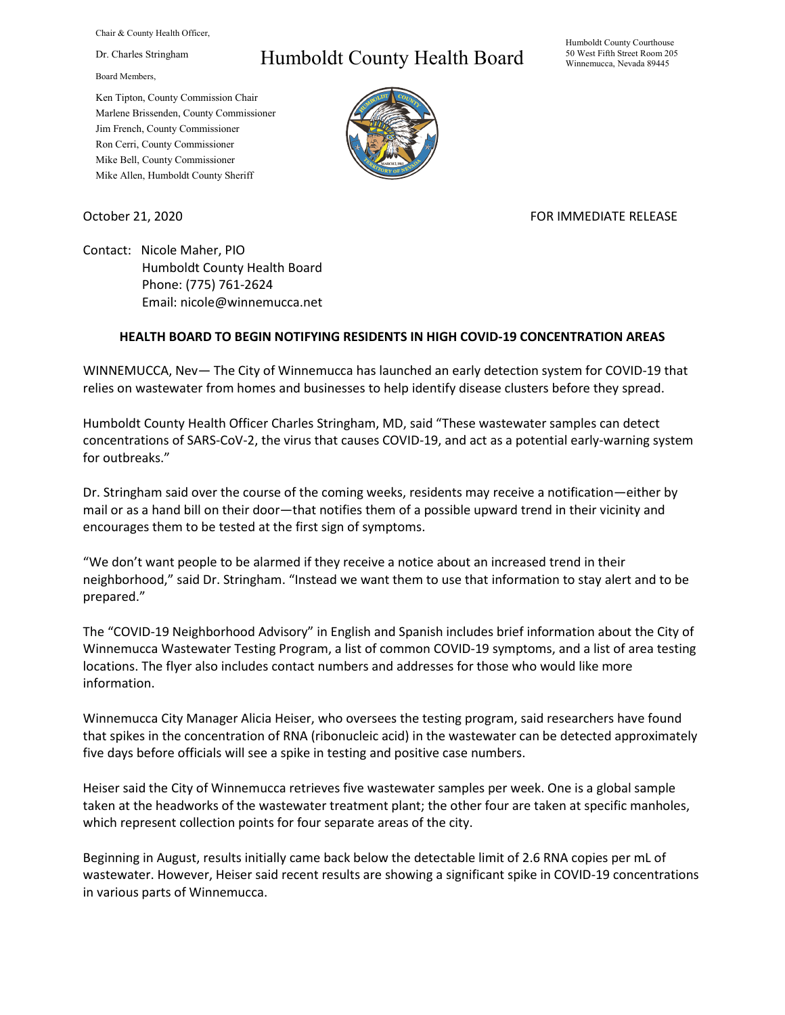Chair & County Health Officer,

Dr. Charles Stringham

Board Members,

Ken Tipton, County Commission Chair Marlene Brissenden, County Commissioner Jim French, County Commissioner Ron Cerri, County Commissioner Mike Bell, County Commissioner Mike Allen, Humboldt County Sheriff

## Humboldt County Health Board

Humboldt County Courthouse 50 West Fifth Street Room 205 Winnemucca, Nevada 89445



October 21, 2020 FOR IMMEDIATE RELEASE

Contact: Nicole Maher, PIO Humboldt County Health Board Phone: (775) 761-2624 Email: nicole@winnemucca.net

## **HEALTH BOARD TO BEGIN NOTIFYING RESIDENTS IN HIGH COVID-19 CONCENTRATION AREAS**

WINNEMUCCA, Nev— The City of Winnemucca has launched an early detection system for COVID-19 that relies on wastewater from homes and businesses to help identify disease clusters before they spread.

Humboldt County Health Officer Charles Stringham, MD, said "These wastewater samples can detect concentrations of SARS-CoV-2, the virus that causes COVID-19, and act as a potential early-warning system for outbreaks."

Dr. Stringham said over the course of the coming weeks, residents may receive a notification—either by mail or as a hand bill on their door—that notifies them of a possible upward trend in their vicinity and encourages them to be tested at the first sign of symptoms.

"We don't want people to be alarmed if they receive a notice about an increased trend in their neighborhood," said Dr. Stringham. "Instead we want them to use that information to stay alert and to be prepared."

The "COVID-19 Neighborhood Advisory" in English and Spanish includes brief information about the City of Winnemucca Wastewater Testing Program, a list of common COVID-19 symptoms, and a list of area testing locations. The flyer also includes contact numbers and addresses for those who would like more information.

Winnemucca City Manager Alicia Heiser, who oversees the testing program, said researchers have found that spikes in the concentration of RNA (ribonucleic acid) in the wastewater can be detected approximately five days before officials will see a spike in testing and positive case numbers.

Heiser said the City of Winnemucca retrieves five wastewater samples per week. One is a global sample taken at the headworks of the wastewater treatment plant; the other four are taken at specific manholes, which represent collection points for four separate areas of the city.

Beginning in August, results initially came back below the detectable limit of 2.6 RNA copies per mL of wastewater. However, Heiser said recent results are showing a significant spike in COVID-19 concentrations in various parts of Winnemucca.